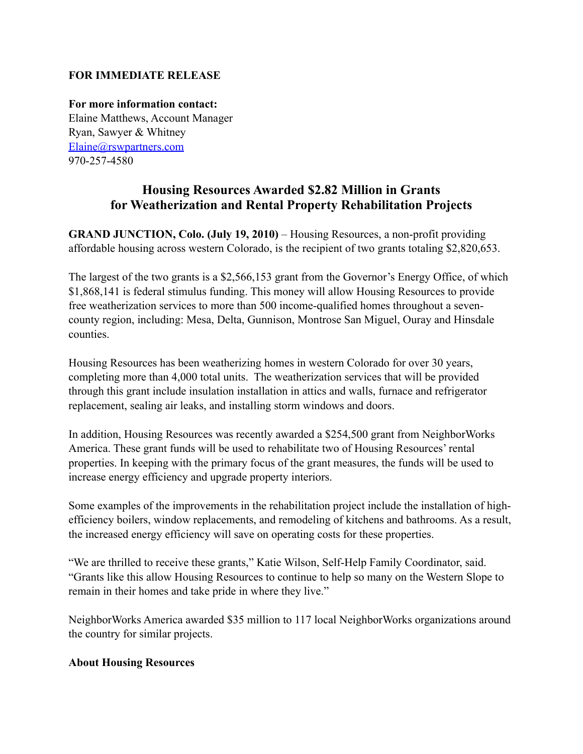## **FOR IMMEDIATE RELEASE**

**For more information contact:** Elaine Matthews, Account Manager Ryan, Sawyer & Whitney [Elaine@rswpartners.com](mailto:Elaine@rswpartners.com) 970-257-4580

## **Housing Resources Awarded \$2.82 Million in Grants for Weatherization and Rental Property Rehabilitation Projects**

**GRAND JUNCTION, Colo. (July 19, 2010)** – Housing Resources, a non-profit providing affordable housing across western Colorado, is the recipient of two grants totaling \$2,820,653.

The largest of the two grants is a \$2,566,153 grant from the Governor's Energy Office, of which \$1,868,141 is federal stimulus funding. This money will allow Housing Resources to provide free weatherization services to more than 500 income-qualified homes throughout a sevencounty region, including: Mesa, Delta, Gunnison, Montrose San Miguel, Ouray and Hinsdale counties.

Housing Resources has been weatherizing homes in western Colorado for over 30 years, completing more than 4,000 total units. The weatherization services that will be provided through this grant include insulation installation in attics and walls, furnace and refrigerator replacement, sealing air leaks, and installing storm windows and doors.

In addition, Housing Resources was recently awarded a \$254,500 grant from NeighborWorks America. These grant funds will be used to rehabilitate two of Housing Resources' rental properties. In keeping with the primary focus of the grant measures, the funds will be used to increase energy efficiency and upgrade property interiors.

Some examples of the improvements in the rehabilitation project include the installation of highefficiency boilers, window replacements, and remodeling of kitchens and bathrooms. As a result, the increased energy efficiency will save on operating costs for these properties.

"We are thrilled to receive these grants," Katie Wilson, Self-Help Family Coordinator, said. "Grants like this allow Housing Resources to continue to help so many on the Western Slope to remain in their homes and take pride in where they live."

NeighborWorks America awarded \$35 million to 117 local NeighborWorks organizations around the country for similar projects.

## **About Housing Resources**